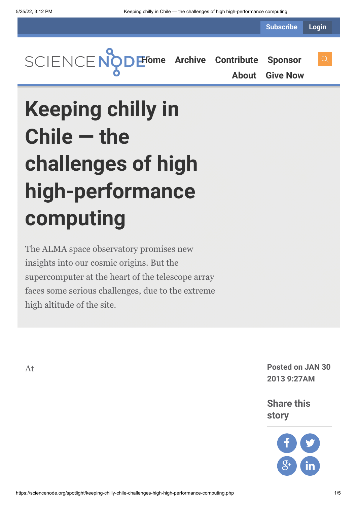**Subscribe Login**



**[About](https://sciencenode.org/about/index.php) [Give Now](https://sciencenode.org/donate/index.php)**

**Keeping chilly in Chile — the challenges of high high-performance computing**

The ALMA space observatory promises new insights into our cosmic origins. But the supercomputer at the heart of the telescope array faces some serious challenges, due to the extreme high altitude of the site.

At **Posted on JAN 30 2013 9:27AM**

> **Share this story**

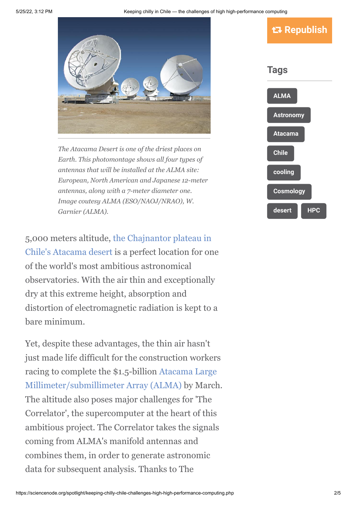

*The Atacama Desert is one of the driest places on Earth. This photomontage shows all four types of antennas that will be installed at the ALMA site: European, North American and Japanese 12-meter antennas, along with a 7-meter diameter one. Image coutesy ALMA (ESO/NAOJ/NRAO), W. Garnier (ALMA).*

[5,000 meters altitude, the Chajnantor plateau in](http://en.wikipedia.org/wiki/Atacama_Desert) Chile's Atacama desert is a perfect location for one of the world's most ambitious astronomical observatories. With the air thin and exceptionally dry at this extreme height, absorption and distortion of electromagnetic radiation is kept to a bare minimum.

Yet, despite these advantages, the thin air hasn't just made life difficult for the construction workers racing to complete the \$1.5-billion Atacama Large [Millimeter/submillimeter Array \(ALMA\) by March](http://www.almaobservatory.org/). The altitude also poses major challenges for 'The Correlator', the supercomputer at the heart of this ambitious project. The Correlator takes the signals coming from ALMA's manifold antennas and combines them, in order to generate astronomic data for subsequent analysis. Thanks to The

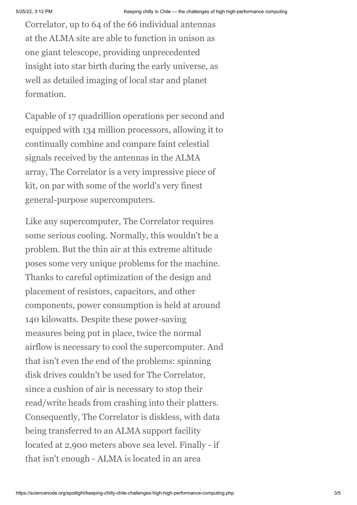Correlator, up to 64 of the 66 individual antennas at the ALMA site are able to function in unison as one giant telescope, providing unprecedented insight into star birth during the early universe, as well as detailed imaging of local star and planet formation.

Capable of 17 quadrillion operations per second and equipped with 134 million processors, allowing it to continually combine and compare faint celestial signals received by the antennas in the ALMA array, The Correlator is a very impressive piece of kit, on par with some of the world's very finest general-purpose supercomputers.

Like any supercomputer, The Correlator requires some serious cooling. Normally, this wouldn't be a problem. But the thin air at this extreme altitude poses some very unique problems for the machine. Thanks to careful optimization of the design and placement of resistors, capacitors, and other components, power consumption is held at around 140 kilowatts. Despite these power-saving measures being put in place, twice the normal airflow is necessary to cool the supercomputer. And that isn't even the end of the problems: spinning disk drives couldn't be used for The Correlator, since a cushion of air is necessary to stop their read/write heads from crashing into their platters. Consequently, The Correlator is diskless, with data being transferred to an ALMA support facility located at 2,900 meters above sea level. Finally - if that isn't enough - ALMA is located in an area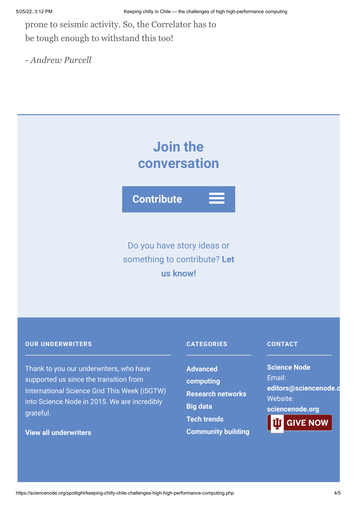prone to seismic activity. So, the Correlator has to be tough enough to withstand this too!

*- Andrew Purcell*

# **Join the conversation**

**Contribute**

# Do you have story ideas or something to contribute? **Let us know!**

#### **OUR UNDERWRITERS**

Thank to you our underwriters, who have supported us since the transition from International Science Grid This Week (iSGTW) into Science Node in 2015. We are incredibly grateful.

## **[View all underwriters](https://sciencenode.org/about/index.php)**

### **CATEGORIES**

**Advanced [computing](https://sciencenode.org/archive/?year=2016&category=Advanced%20computing) [Research networks](https://sciencenode.org/archive/?year=2016&category=Advanced%20computing&category=Research%20networks) [Big data](https://sciencenode.org/archive/?year=2016&category=Advanced%20computing&category=Research%20networks&category=Big%20data) [Tech trends](https://sciencenode.org/archive/?year=2016&category=Advanced%20computing&category=Research%20networks&category=Big%20data&category=Tech%20trends) [Community building](https://sciencenode.org/archive/?year=2016&category=Advanced%20computing&category=Research%20networks&category=Big%20data&category=Tech%20trends&category=Community%20building)**

#### **CONTACT**

**Science Node** Email: **[editors@sciencenode.o](mailto:edit%6F%72s@s%63%69encenode.%6F%72%67)** Website: **[sciencenode.org](https://sciencenode.org/)**